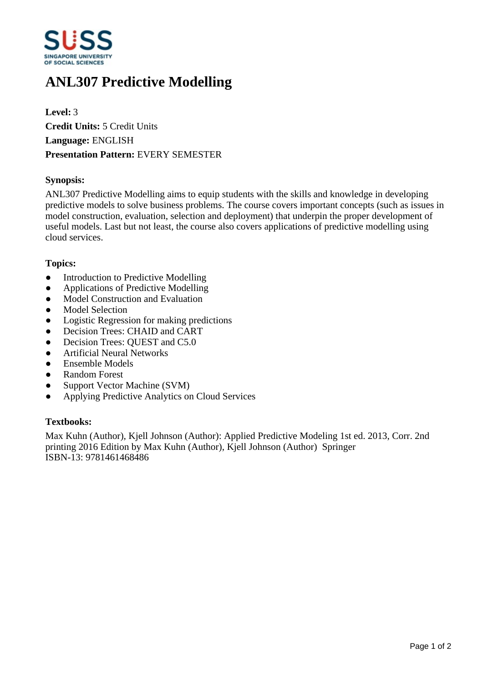

# **ANL307 Predictive Modelling**

**Level:** 3 **Credit Units:** 5 Credit Units **Language:** ENGLISH **Presentation Pattern:** EVERY SEMESTER

# **Synopsis:**

ANL307 Predictive Modelling aims to equip students with the skills and knowledge in developing predictive models to solve business problems. The course covers important concepts (such as issues in model construction, evaluation, selection and deployment) that underpin the proper development of useful models. Last but not least, the course also covers applications of predictive modelling using cloud services.

# **Topics:**

- Introduction to Predictive Modelling
- Applications of Predictive Modelling
- Model Construction and Evaluation
- Model Selection
- Logistic Regression for making predictions
- ƔDecision Trees: CHAID and CART
- Decision Trees: OUEST and C5.0
- **•** Artificial Neural Networks
- Ensemble Models
- ƔRandom Forest
- Support Vector Machine (SVM)
- ƔApplying Predictive Analytics on Cloud Services

#### **Textbooks:**

Max Kuhn (Author), Kjell Johnson (Author): Applied Predictive Modeling 1st ed. 2013, Corr. 2nd printing 2016 Edition by Max Kuhn (Author), Kjell Johnson (Author) Springer ISBN-13: 9781461468486